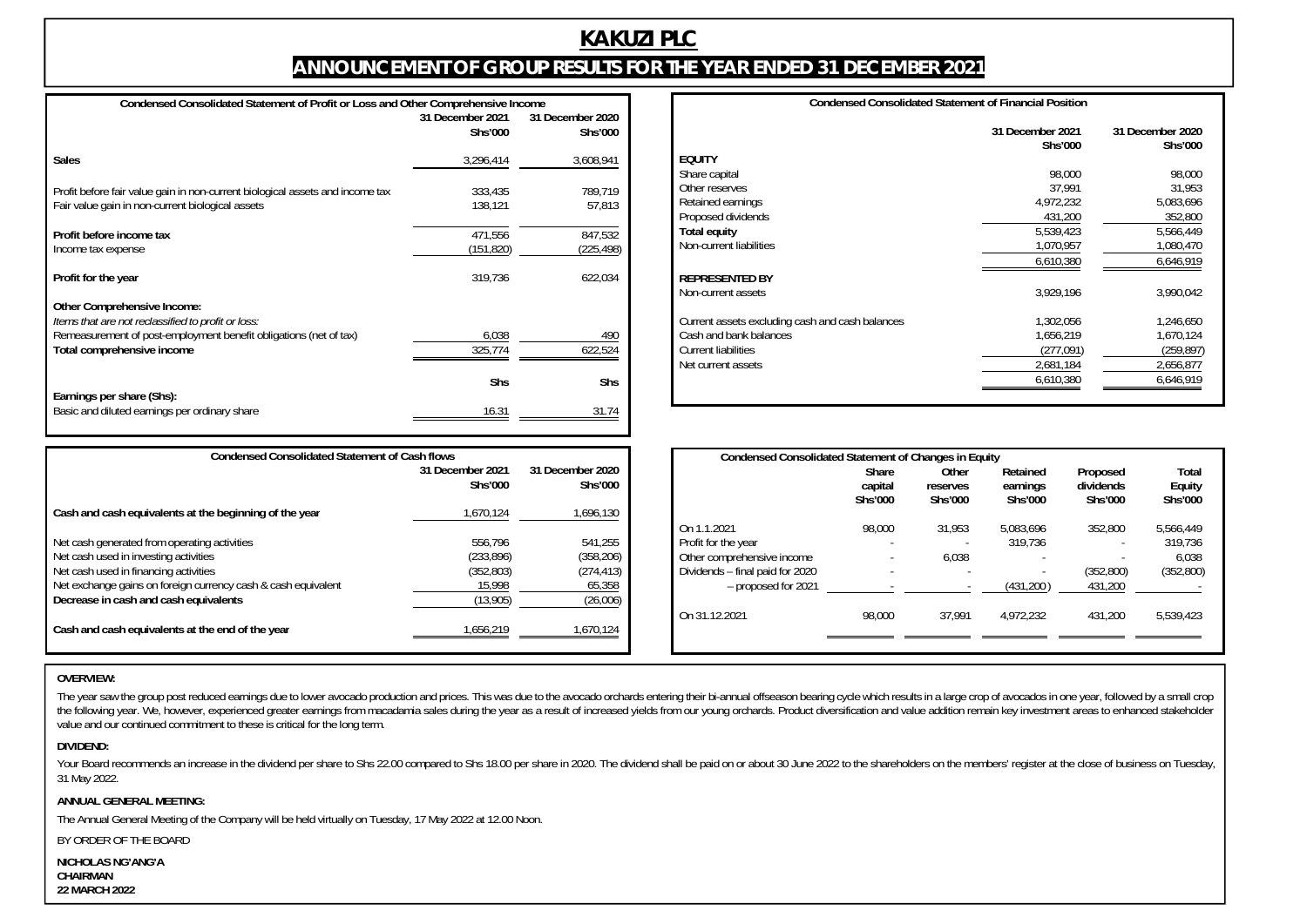# **KAKUZI PLC ANNOUNCEMENT OF GROUP RESULTS FOR THE YEAR ENDED 31 DECEMBER 2021**

| Condensed Consolidated Statement of Profit or Loss and Other Comprehensive Income                                                                                                    |                             |                             |  |  |  |  |
|--------------------------------------------------------------------------------------------------------------------------------------------------------------------------------------|-----------------------------|-----------------------------|--|--|--|--|
|                                                                                                                                                                                      | 31 December 2021<br>Shs'000 | 31 December 2020<br>Shs'000 |  |  |  |  |
| <b>Sales</b>                                                                                                                                                                         | 3,296,414                   | 3,608,941                   |  |  |  |  |
| Profit before fair value gain in non-current biological assets and income tax<br>Fair value gain in non-current biological assets                                                    | 333,435<br>138.121          | 789.719<br>57,813           |  |  |  |  |
| Profit before income tax<br>Income tax expense                                                                                                                                       | 471,556<br>(151,820)        | 847,532<br>(225,498)        |  |  |  |  |
| Profit for the year                                                                                                                                                                  | 319,736                     | 622,034                     |  |  |  |  |
| Other Comprehensive Income:<br>Items that are not reclassified to profit or loss:<br>Remeasurement of post-employment benefit obligations (net of tax)<br>Total comprehensive income | 6,038<br>325,774            | 490<br>622,524              |  |  |  |  |
| Earnings per share (Shs):                                                                                                                                                            | Shs                         | Shs                         |  |  |  |  |
| Basic and diluted earnings per ordinary share                                                                                                                                        | 16.31                       | 31.74                       |  |  |  |  |

| <b>Condensed Consolidated Statement of Financial Position</b> |                             |                             |  |  |  |
|---------------------------------------------------------------|-----------------------------|-----------------------------|--|--|--|
|                                                               | 31 December 2021<br>Shs'000 | 31 December 2020<br>Shs'000 |  |  |  |
| <b>EQUITY</b>                                                 |                             |                             |  |  |  |
| Share capital                                                 | 98,000                      | 98,000                      |  |  |  |
| Other reserves                                                | 37,991                      | 31,953                      |  |  |  |
| Retained earnings                                             | 4,972,232                   | 5,083,696                   |  |  |  |
| Proposed dividends                                            | 431,200                     | 352,800                     |  |  |  |
| Total equity                                                  | 5,539,423                   | 5,566,449                   |  |  |  |
| Non-current liabilities                                       | 1,070,957                   | 1,080,470                   |  |  |  |
|                                                               | 6,610,380                   | 6,646,919                   |  |  |  |
| <b>REPRESENTED BY</b>                                         |                             |                             |  |  |  |
| Non-current assets                                            | 3,929,196                   | 3,990,042                   |  |  |  |
| Current assets excluding cash and cash balances               | 1,302,056                   | 1,246,650                   |  |  |  |
| Cash and bank balances                                        | 1,656,219                   | 1,670,124                   |  |  |  |
| <b>Current liabilities</b>                                    | (277, 091)                  | (259,897)                   |  |  |  |
| Net current assets                                            | 2,681,184                   | 2,656,877                   |  |  |  |
|                                                               | 6,610,380                   | 6,646,919                   |  |  |  |
|                                                               |                             |                             |  |  |  |

| <b>Condensed Consolidated Statement of Cash flows</b>                                                                                                                                                                                    |                                                           |                                                          |  |  |  |
|------------------------------------------------------------------------------------------------------------------------------------------------------------------------------------------------------------------------------------------|-----------------------------------------------------------|----------------------------------------------------------|--|--|--|
|                                                                                                                                                                                                                                          | 31 December 2021<br>Shs'000                               | 31 December 2020<br>Shs'000                              |  |  |  |
| Cash and cash equivalents at the beginning of the year                                                                                                                                                                                   | 1,670,124                                                 | 1,696,130                                                |  |  |  |
| Net cash generated from operating activities<br>Net cash used in investing activities<br>Net cash used in financing activities<br>Net exchange gains on foreign currency cash & cash equivalent<br>Decrease in cash and cash equivalents | 556.796<br>(233, 896)<br>(352, 803)<br>15,998<br>(13,905) | 541.255<br>(358,206)<br>(274, 413)<br>65,358<br>(26,006) |  |  |  |
| Cash and cash equivalents at the end of the year                                                                                                                                                                                         | 1.656.219                                                 | 1.670.124                                                |  |  |  |

| Condensed Consolidated Statement of Changes in Equity |                  |                   |                      |                       |                 |  |  |
|-------------------------------------------------------|------------------|-------------------|----------------------|-----------------------|-----------------|--|--|
|                                                       | Share<br>capital | Other<br>reserves | Retained<br>earnings | Proposed<br>dividends | Total<br>Equity |  |  |
|                                                       | Shs'000          | Shs'000           | Shs'000              | Shs'000               | Shs'000         |  |  |
| On 1.1.2021                                           | 98,000           | 31,953            | 5.083.696            | 352.800               | 5.566.449       |  |  |
| Profit for the year                                   |                  |                   | 319.736              |                       | 319,736         |  |  |
| Other comprehensive income                            |                  | 6.038             |                      |                       | 6.038           |  |  |
| Dividends - final paid for 2020                       |                  |                   |                      | (352, 800)            | (352,800)       |  |  |
| - proposed for 2021                                   |                  |                   | (431,200)            | 431,200               |                 |  |  |
| On 31.12.2021                                         | 98,000           | 37.991            | 4.972.232            | 431.200               | 5.539.423       |  |  |
|                                                       |                  |                   |                      |                       |                 |  |  |

# **OVERVIEW:**

The year saw the group post reduced earnings due to lower avocado production and prices. This was due to the avocado orchards entering their bi-annual offseason bearing cycle which results in a large crop of avocados in on the following year. We, however, experienced greater earnings from macadamia sales during the year as a result of increased yields from our young orchards. Product diversification and value addition remain key investment a value and our continued commitment to these is critical for the long term.

## **DIVIDEND:**

Your Board recommends an increase in the dividend per share to Shs 22.00 compared to Shs 18.00 per share in 2020. The dividend shall be paid on or about 30 June 2022 to the shareholders on the members' register at the clos 31 May 2022.

## **ANNUAL GENERAL MEETING:**

The Annual General Meeting of the Company will be held virtually on Tuesday, 17 May 2022 at 12.00 Noon.

BY ORDER OF THE BOARD

**NICHOLAS NG'ANG'A CHAIRMAN 22 MARCH 2022**